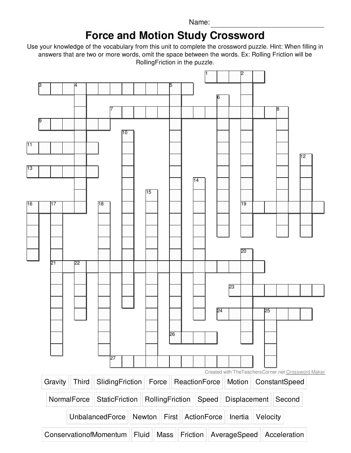Name:

## **Force and Motion Study Crossword**

Use your knowledge of the vocabulary from this unit to complete the crossword puzzle. Hint: When filling in answers that are two or more words, omit the space between the words. Ex: Rolling Friction will be RollingFriction in the puzzle.